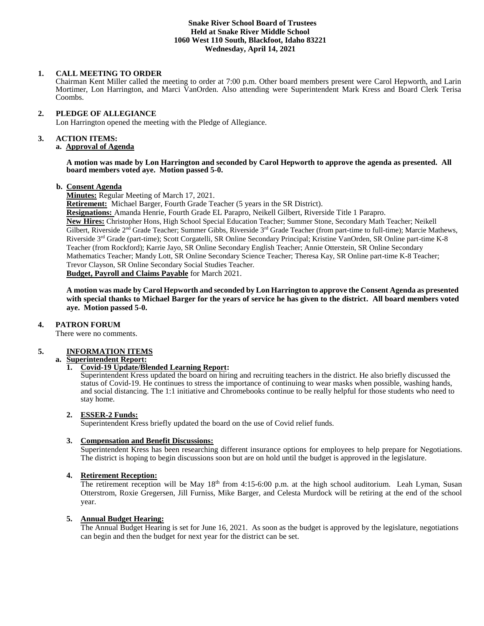#### **Snake River School Board of Trustees Held at Snake River Middle School 1060 West 110 South, Blackfoot, Idaho 83221 Wednesday, April 14, 2021**

## **1. CALL MEETING TO ORDER**

Chairman Kent Miller called the meeting to order at 7:00 p.m. Other board members present were Carol Hepworth, and Larin Mortimer, Lon Harrington, and Marci VanOrden. Also attending were Superintendent Mark Kress and Board Clerk Terisa Coombs.

#### **2. PLEDGE OF ALLEGIANCE**

Lon Harrington opened the meeting with the Pledge of Allegiance.

#### **3. ACTION ITEMS:**

# **a. Approval of Agenda**

**A motion was made by Lon Harrington and seconded by Carol Hepworth to approve the agenda as presented. All board members voted aye. Motion passed 5-0.**

#### **b. Consent Agenda**

**Minutes:** Regular Meeting of March 17, 2021.

**Retirement:** Michael Barger, Fourth Grade Teacher (5 years in the SR District).

**Resignations:** Amanda Henrie, Fourth Grade EL Parapro, Neikell Gilbert, Riverside Title 1 Parapro.

**New Hires:** Christopher Hons, High School Special Education Teacher; Summer Stone, Secondary Math Teacher; Neikell Gilbert, Riverside 2<sup>nd</sup> Grade Teacher; Summer Gibbs, Riverside 3<sup>rd</sup> Grade Teacher (from part-time to full-time); Marcie Mathews, Riverside 3rd Grade (part-time); Scott Corgatelli, SR Online Secondary Principal; Kristine VanOrden, SR Online part-time K-8 Teacher (from Rockford); Karrie Jayo, SR Online Secondary English Teacher; Annie Otterstein, SR Online Secondary Mathematics Teacher; Mandy Lott, SR Online Secondary Science Teacher; Theresa Kay, SR Online part-time K-8 Teacher; Trevor Clayson, SR Online Secondary Social Studies Teacher. **Budget, Payroll and Claims Payable** for March 2021.

**A motion was made by Carol Hepworth and seconded by Lon Harrington to approve the Consent Agenda as presented with special thanks to Michael Barger for the years of service he has given to the district. All board members voted aye. Motion passed 5-0.**

## **4. PATRON FORUM**

There were no comments.

## **5. INFORMATION ITEMS**

#### **a. Superintendent Report:**

## **1. Covid-19 Update/Blended Learning Report:**

Superintendent Kress updated the board on hiring and recruiting teachers in the district. He also briefly discussed the status of Covid-19. He continues to stress the importance of continuing to wear masks when possible, washing hands, and social distancing. The 1:1 initiative and Chromebooks continue to be really helpful for those students who need to stay home.

## **2. ESSER-2 Funds:**

Superintendent Kress briefly updated the board on the use of Covid relief funds.

## **3. Compensation and Benefit Discussions:**

Superintendent Kress has been researching different insurance options for employees to help prepare for Negotiations. The district is hoping to begin discussions soon but are on hold until the budget is approved in the legislature.

# **4. Retirement Reception:**

The retirement reception will be May  $18<sup>th</sup>$  from 4:15-6:00 p.m. at the high school auditorium. Leah Lyman, Susan Otterstrom, Roxie Gregersen, Jill Furniss, Mike Barger, and Celesta Murdock will be retiring at the end of the school year.

#### **5. Annual Budget Hearing:**

The Annual Budget Hearing is set for June 16, 2021. As soon as the budget is approved by the legislature, negotiations can begin and then the budget for next year for the district can be set.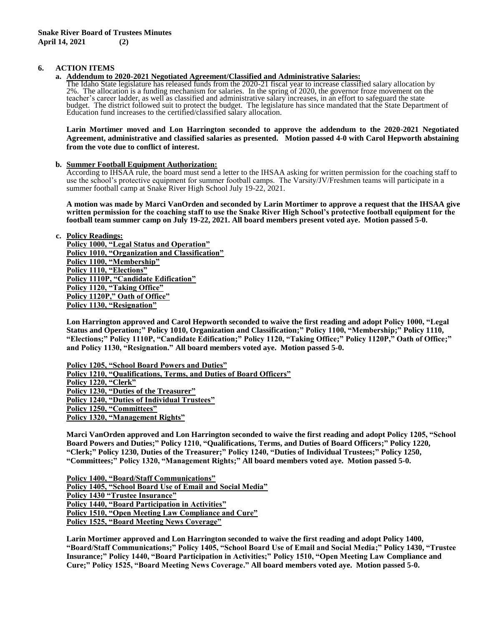## **6. ACTION ITEMS**

**a. Addendum to 2020-2021 Negotiated Agreement/Classified and Administrative Salaries:**

The Idaho State legislature has released funds from the 2020-21 fiscal year to increase classified salary allocation by 2%. The allocation is a funding mechanism for salaries. In the spring of 2020, the governor froze movement on the teacher's career ladder, as well as classified and administrative salary increases, in an effort to safeguard the state budget. The district followed suit to protect the budget. The legislature has since mandated that the State Department of Education fund increases to the certified/classified salary allocation.

**Larin Mortimer moved and Lon Harrington seconded to approve the addendum to the 2020-2021 Negotiated Agreement, administrative and classified salaries as presented. Motion passed 4-0 with Carol Hepworth abstaining from the vote due to conflict of interest.**

## **b. Summer Football Equipment Authorization:**

According to IHSAA rule, the board must send a letter to the IHSAA asking for written permission for the coaching staff to use the school's protective equipment for summer football camps. The Varsity/JV/Freshmen teams will participate in a summer football camp at Snake River High School July 19-22, 2021.

**A motion was made by Marci VanOrden and seconded by Larin Mortimer to approve a request that the IHSAA give written permission for the coaching staff to use the Snake River High School's protective football equipment for the football team summer camp on July 19-22, 2021. All board members present voted aye. Motion passed 5-0.** 

## **c. Policy Readings:**

**Policy 1000, "Legal Status and Operation" Policy 1010, "Organization and Classification" Policy 1100, "Membership" Policy 1110, "Elections" Policy 1110P, "Candidate Edification" Policy 1120, "Taking Office" Policy 1120P," Oath of Office" Policy 1130, "Resignation"**

**Lon Harrington approved and Carol Hepworth seconded to waive the first reading and adopt Policy 1000, "Legal Status and Operation;" Policy 1010, Organization and Classification;" Policy 1100, "Membership;" Policy 1110, "Elections;" Policy 1110P, "Candidate Edification;" Policy 1120, "Taking Office;" Policy 1120P," Oath of Office;" and Policy 1130, "Resignation." All board members voted aye. Motion passed 5-0.**

**Policy 1205, "School Board Powers and Duties" Policy 1210, "Qualifications, Terms, and Duties of Board Officers" Policy 1220, "Clerk" Policy 1230, "Duties of the Treasurer" Policy 1240, "Duties of Individual Trustees" Policy 1250, "Committees" Policy 1320, "Management Rights"**

**Marci VanOrden approved and Lon Harrington seconded to waive the first reading and adopt Policy 1205, "School Board Powers and Duties;" Policy 1210, "Qualifications, Terms, and Duties of Board Officers;" Policy 1220, "Clerk;" Policy 1230, Duties of the Treasurer;" Policy 1240, "Duties of Individual Trustees;" Policy 1250, "Committees;" Policy 1320, "Management Rights;" All board members voted aye. Motion passed 5-0.**

**Policy 1400, "Board/Staff Communications" Policy 1405, "School Board Use of Email and Social Media" Policy 1430 "Trustee Insurance" Policy 1440, "Board Participation in Activities" Policy 1510, "Open Meeting Law Compliance and Cure" Policy 1525, "Board Meeting News Coverage"**

**Larin Mortimer approved and Lon Harrington seconded to waive the first reading and adopt Policy 1400, "Board/Staff Communications;" Policy 1405, "School Board Use of Email and Social Media;" Policy 1430, "Trustee Insurance;" Policy 1440, "Board Participation in Activities;" Policy 1510, "Open Meeting Law Compliance and Cure;" Policy 1525, "Board Meeting News Coverage." All board members voted aye. Motion passed 5-0.**